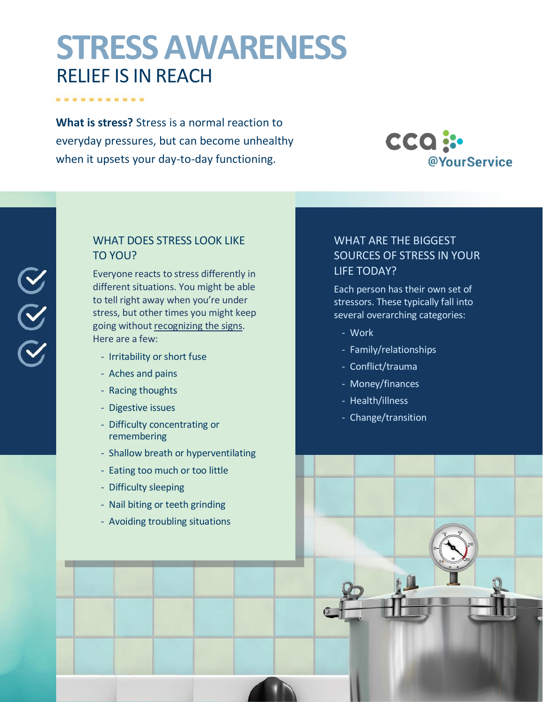# **STRESS AWARENESS** RELIEF IS IN REACH

**What is stress?** Stress is a normal reaction to everyday pressures, but can become unhealthy when it upsets your day-to-day functioning.

. . . . . . . . . .

 $\begin{array}{c} \infty \ \infty \end{array}$ 



# WHAT DOES STRESS LOOK LIKE TO YOU?

Everyone reacts to stress differently in different situations. You might be able to tell right away when you're under stress, but other times you might keep going withou[t recognizing the signs.](https://www.webmd.com/balance/stress-management/stress-symptoms-effects_of-stress-on-the-body) Here are a few:

- Irritability or short fuse
- Aches and pains
- Racing thoughts
- Digestive issues
- Difficulty concentrating or remembering
- Shallow breath or hyperventilating
- Eating too much or too little
- Difficulty sleeping
- Nail biting or teeth grinding
- Avoiding troubling situations

# WHAT ARE THE BIGGEST SOURCES OF STRESS IN YOUR LIFE TODAY?

Each person has their own set of stressors. These typically fall into several overarching categories:

- Work
- Family/relationships
- Conflict/trauma
- Money/finances
- Health/illness
- Change/transition